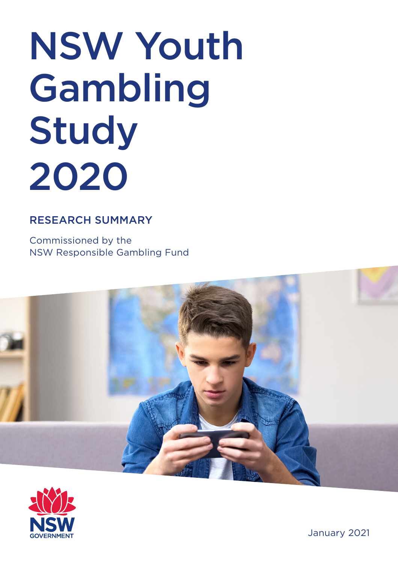# NSW Youth Gambling Study 2020

## RESEARCH SUMMARY

Commissioned by the NSW Responsible Gambling Fund





January 2021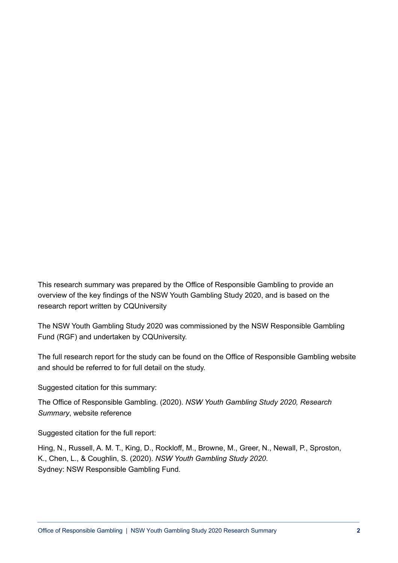This research summary was prepared by the Office of Responsible Gambling to provide an overview of the key findings of the NSW Youth Gambling Study 2020, and is based on the research report written by CQUniversity

The NSW Youth Gambling Study 2020 was commissioned by the NSW Responsible Gambling Fund (RGF) and undertaken by CQUniversity.

The full research report for the study can be found on the Office of Responsible Gambling website and should be referred to for full detail on the study.

Suggested citation for this summary:

The Office of Responsible Gambling. (2020). *NSW Youth Gambling Study 2020, Research Summary*, website reference

Suggested citation for the full report:

Hing, N., Russell, A. M. T., King, D., Rockloff, M., Browne, M., Greer, N., Newall, P., Sproston, K., Chen, L., & Coughlin, S. (2020). *NSW Youth Gambling Study 2020*. Sydney: NSW Responsible Gambling Fund.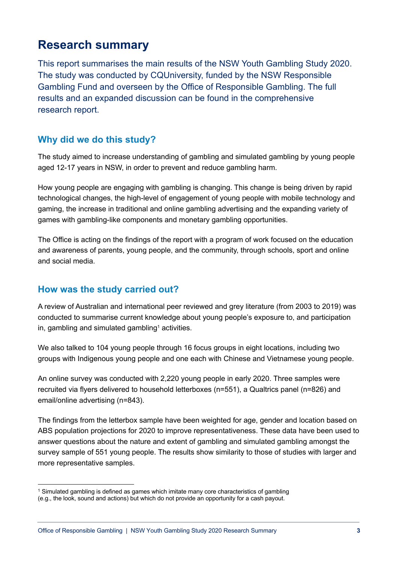## **Research summary**

This report summarises the main results of the NSW Youth Gambling Study 2020. The study was conducted by CQUniversity, funded by the NSW Responsible Gambling Fund and overseen by the Office of Responsible Gambling. The full results and an expanded discussion can be found in the comprehensive research report.

## **Why did we do this study?**

The study aimed to increase understanding of gambling and simulated gambling by young people aged 12-17 years in NSW, in order to prevent and reduce gambling harm.

How young people are engaging with gambling is changing. This change is being driven by rapid technological changes, the high-level of engagement of young people with mobile technology and gaming, the increase in traditional and online gambling advertising and the expanding variety of games with gambling-like components and monetary gambling opportunities.

The Office is acting on the findings of the report with a program of work focused on the education and awareness of parents, young people, and the community, through schools, sport and online and social media.

#### **How was the study carried out?**

A review of Australian and international peer reviewed and grey literature (from 2003 to 2019) was conducted to summarise current knowledge about young people's exposure to, and participation in, gambling and simulated gambling<sup>1</sup> activities.

We also talked to 104 young people through 16 focus groups in eight locations, including two groups with Indigenous young people and one each with Chinese and Vietnamese young people.

An online survey was conducted with 2,220 young people in early 2020. Three samples were recruited via flyers delivered to household letterboxes (n=551), a Qualtrics panel (n=826) and email/online advertising (n=843).

The findings from the letterbox sample have been weighted for age, gender and location based on ABS population projections for 2020 to improve representativeness. These data have been used to answer questions about the nature and extent of gambling and simulated gambling amongst the survey sample of 551 young people. The results show similarity to those of studies with larger and more representative samples.

<sup>1</sup> Simulated gambling is defined as games which imitate many core characteristics of gambling (e.g., the look, sound and actions) but which do not provide an opportunity for a cash payout.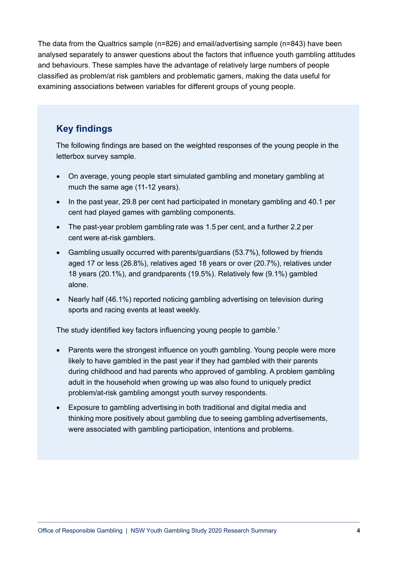The data from the Qualtrics sample (n=826) and email/advertising sample (n=843) have been analysed separately to answer questions about the factors that influence youth gambling attitudes and behaviours. These samples have the advantage of relatively large numbers of people classified as problem/at risk gamblers and problematic gamers, making the data useful for examining associations between variables for different groups of young people.

## **Key findings**

The following findings are based on the weighted responses of the young people in the letterbox survey sample.

- On average, young people start simulated gambling and monetary gambling at much the same age (11-12 years).
- In the past vear, 29.8 per cent had participated in monetary gambling and 40.1 per cent had played games with gambling components.
- The past-year problem gambling rate was 1.5 per cent, and a further 2.2 per cent were at-risk gamblers.
- Gambling usually occurred with parents/guardians (53.7%), followed by friends aged 17 or less (26.8%), relatives aged 18 years or over (20.7%), relatives under 18 years (20.1%), and grandparents (19.5%). Relatively few (9.1%) gambled alone.
- Nearly half (46.1%) reported noticing gambling advertising on television during sports and racing events at least weekly.

The study identified key factors influencing young people to gamble.<sup>1</sup>

- Parents were the strongest influence on youth gambling. Young people were more likely to have gambled in the past year if they had gambled with their parents during childhood and had parents who approved of gambling. A problem gambling adult in the household when growing up was also found to uniquely predict problem/at-risk gambling amongst youth survey respondents.
- Exposure to gambling advertising in both traditional and digital media and thinking more positively about gambling due to seeing gambling advertisements, were associated with gambling participation, intentions and problems.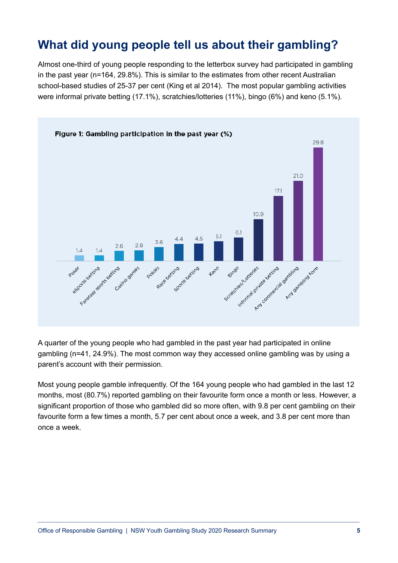# **What did young people tell us about their gambling?**

Almost one-third of young people responding to the letterbox survey had participated in gambling in the past year (n=164, 29.8%). This is similar to the estimates from other recent Australian school-based studies of 25-37 per cent (King et al 2014). The most popular gambling activities were informal private betting (17.1%), scratchies/lotteries (11%), bingo (6%) and keno (5.1%).



A quarter of the young people who had gambled in the past year had participated in online gambling (n=41, 24.9%). The most common way they accessed online gambling was by using a parent's account with their permission.

Most young people gamble infrequently. Of the 164 young people who had gambled in the last 12 months, most (80.7%) reported gambling on their favourite form once a month or less. However, a significant proportion of those who gambled did so more often, with 9.8 per cent gambling on their favourite form a few times a month, 5.7 per cent about once a week, and 3.8 per cent more than once a week.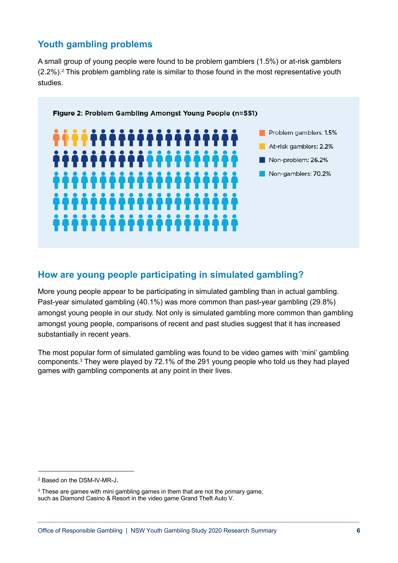## **Youth gambling problems**

A small group of young people were found to be problem gamblers (1.5%) or at-risk gamblers  $(2.2\%)$ .<sup>2</sup> This problem gambling rate is similar to those found in the most representative youth studies.



## **How are young people participating in simulated gambling?**

More young people appear to be participating in simulated gambling than in actual gambling. Past-year simulated gambling (40.1%) was more common than past-year gambling (29.8%) amongst young people in our study. Not only is simulated gambling more common than gambling amongst young people, comparisons of recent and past studies suggest that it has increased substantially in recent years.

The most popular form of simulated gambling was found to be video games with 'mini' gambling components. <sup>3</sup> They were played by 72.1% of the 291 young people who told us they had played games with gambling components at any point in their lives.

<sup>2</sup> Based on the DSM-IV-MR-J.

<sup>&</sup>lt;sup>3</sup> These are games with mini gambling games in them that are not the primary game, such as Diamond Casino & Resort in the video game Grand Theft Auto V.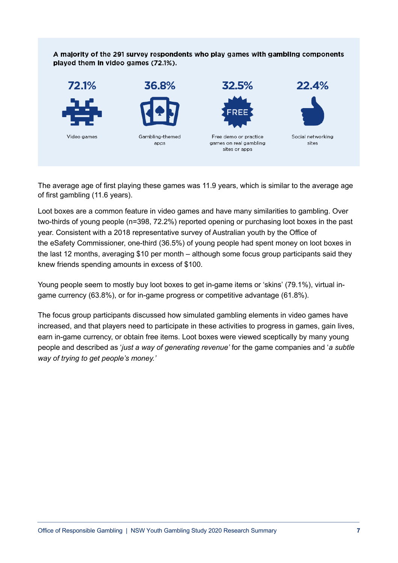#### A majority of the 291 survey respondents who play games with gambling components played them in video games (72.1%).



The average age of first playing these games was 11.9 years, which is similar to the average age of first gambling (11.6 years).

Loot boxes are a common feature in video games and have many similarities to gambling. Over two-thirds of young people (n=398, 72.2%) reported opening or purchasing loot boxes in the past year. Consistent with a 2018 representative survey of Australian youth by the Office of the eSafety Commissioner, one-third (36.5%) of young people had spent money on loot boxes in the last 12 months, averaging \$10 per month – although some focus group participants said they knew friends spending amounts in excess of \$100.

Young people seem to mostly buy loot boxes to get in-game items or 'skins' (79.1%), virtual ingame currency (63.8%), or for in-game progress or competitive advantage (61.8%).

The focus group participants discussed how simulated gambling elements in video games have increased, and that players need to participate in these activities to progress in games, gain lives, earn in-game currency, or obtain free items. Loot boxes were viewed sceptically by many young people and described as '*just a way of generating revenue'* for the game companies and '*a subtle way of trying to get people's money.'*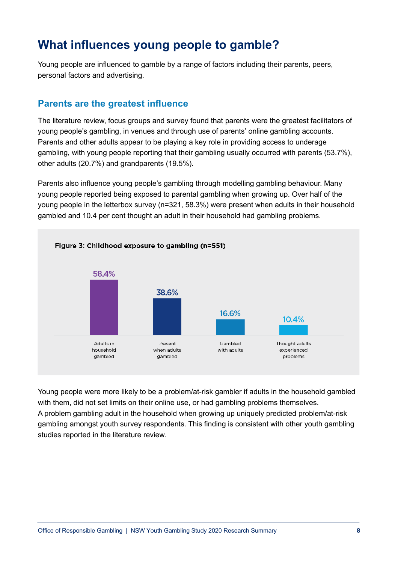# **What influences young people to gamble?**

Young people are influenced to gamble by a range of factors including their parents, peers, personal factors and advertising.

#### **Parents are the greatest influence**

The literature review, focus groups and survey found that parents were the greatest facilitators of young people's gambling, in venues and through use of parents' online gambling accounts. Parents and other adults appear to be playing a key role in providing access to underage gambling, with young people reporting that their gambling usually occurred with parents (53.7%), other adults (20.7%) and grandparents (19.5%).

Parents also influence young people's gambling through modelling gambling behaviour. Many young people reported being exposed to parental gambling when growing up. Over half of the young people in the letterbox survey (n=321, 58.3%) were present when adults in their household gambled and 10.4 per cent thought an adult in their household had gambling problems.



Young people were more likely to be a problem/at-risk gambler if adults in the household gambled with them, did not set limits on their online use, or had gambling problems themselves. A problem gambling adult in the household when growing up uniquely predicted problem/at-risk gambling amongst youth survey respondents. This finding is consistent with other youth gambling studies reported in the literature review.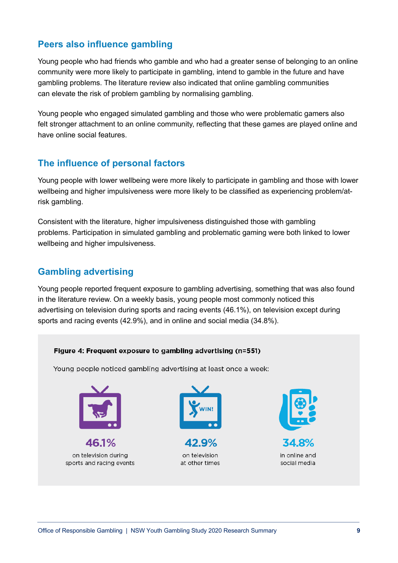#### **Peers also influence gambling**

Young people who had friends who gamble and who had a greater sense of belonging to an online community were more likely to participate in gambling, intend to gamble in the future and have gambling problems. The literature review also indicated that online gambling communities can elevate the risk of problem gambling by normalising gambling.

Young people who engaged simulated gambling and those who were problematic gamers also felt stronger attachment to an online community, reflecting that these games are played online and have online social features.

#### **The influence of personal factors**

Young people with lower wellbeing were more likely to participate in gambling and those with lower wellbeing and higher impulsiveness were more likely to be classified as experiencing problem/atrisk gambling.

Consistent with the literature, higher impulsiveness distinguished those with gambling problems. Participation in simulated gambling and problematic gaming were both linked to lower wellbeing and higher impulsiveness.

#### **Gambling advertising**

Young people reported frequent exposure to gambling advertising, something that was also found in the literature review. On a weekly basis, young people most commonly noticed this advertising on television during sports and racing events (46.1%), on television except during sports and racing events (42.9%), and in online and social media (34.8%).

#### Figure 4: Frequent exposure to gambling advertising (n=551)

Young people noticed gambling advertising at least once a week:



46.1% on television during sports and racing events



42.9% on television at other times



34.8% in online and social media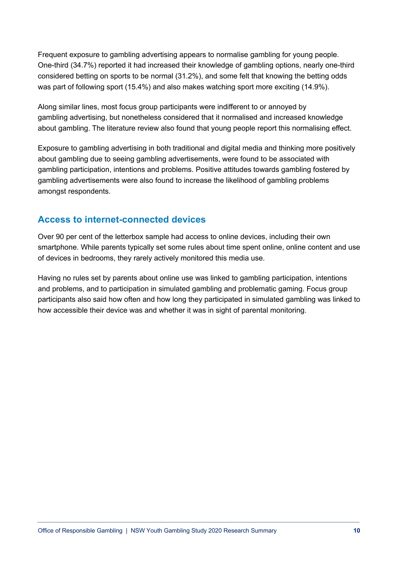Frequent exposure to gambling advertising appears to normalise gambling for young people. One-third (34.7%) reported it had increased their knowledge of gambling options, nearly one-third considered betting on sports to be normal (31.2%), and some felt that knowing the betting odds was part of following sport (15.4%) and also makes watching sport more exciting (14.9%).

Along similar lines, most focus group participants were indifferent to or annoyed by gambling advertising, but nonetheless considered that it normalised and increased knowledge about gambling. The literature review also found that young people report this normalising effect.

Exposure to gambling advertising in both traditional and digital media and thinking more positively about gambling due to seeing gambling advertisements, were found to be associated with gambling participation, intentions and problems. Positive attitudes towards gambling fostered by gambling advertisements were also found to increase the likelihood of gambling problems amongst respondents.

## **Access to internet-connected devices**

Over 90 per cent of the letterbox sample had access to online devices, including their own smartphone. While parents typically set some rules about time spent online, online content and use of devices in bedrooms, they rarely actively monitored this media use.

Having no rules set by parents about online use was linked to gambling participation, intentions and problems, and to participation in simulated gambling and problematic gaming. Focus group participants also said how often and how long they participated in simulated gambling was linked to how accessible their device was and whether it was in sight of parental monitoring.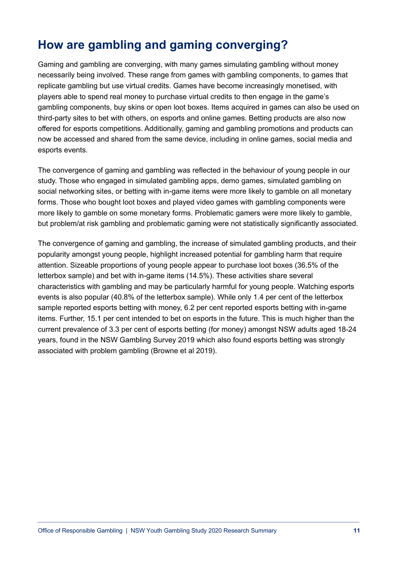# **How are gambling and gaming converging?**

Gaming and gambling are converging, with many games simulating gambling without money necessarily being involved. These range from games with gambling components, to games that replicate gambling but use virtual credits. Games have become increasingly monetised, with players able to spend real money to purchase virtual credits to then engage in the game's gambling components, buy skins or open loot boxes. Items acquired in games can also be used on third-party sites to bet with others, on esports and online games. Betting products are also now offered for esports competitions. Additionally, gaming and gambling promotions and products can now be accessed and shared from the same device, including in online games, social media and esports events.

The convergence of gaming and gambling was reflected in the behaviour of young people in our study. Those who engaged in simulated gambling apps, demo games, simulated gambling on social networking sites, or betting with in-game items were more likely to gamble on all monetary forms. Those who bought loot boxes and played video games with gambling components were more likely to gamble on some monetary forms. Problematic gamers were more likely to gamble, but problem/at risk gambling and problematic gaming were not statistically significantly associated.

The convergence of gaming and gambling, the increase of simulated gambling products, and their popularity amongst young people, highlight increased potential for gambling harm that require attention. Sizeable proportions of young people appear to purchase loot boxes (36.5% of the letterbox sample) and bet with in-game items (14.5%). These activities share several characteristics with gambling and may be particularly harmful for young people. Watching esports events is also popular (40.8% of the letterbox sample). While only 1.4 per cent of the letterbox sample reported esports betting with money, 6.2 per cent reported esports betting with in-game items. Further, 15.1 per cent intended to bet on esports in the future. This is much higher than the current prevalence of 3.3 per cent of esports betting (for money) amongst NSW adults aged 18-24 years, found in the NSW Gambling Survey 2019 which also found esports betting was strongly associated with problem gambling (Browne et al 2019).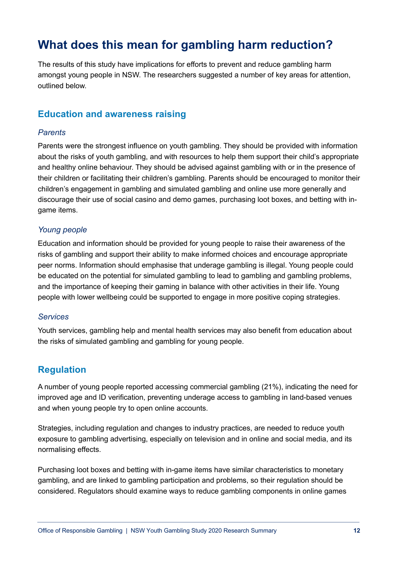# **What does this mean for gambling harm reduction?**

The results of this study have implications for efforts to prevent and reduce gambling harm amongst young people in NSW. The researchers suggested a number of key areas for attention, outlined below.

#### **Education and awareness raising**

#### *Parents*

Parents were the strongest influence on youth gambling. They should be provided with information about the risks of youth gambling, and with resources to help them support their child's appropriate and healthy online behaviour. They should be advised against gambling with or in the presence of their children or facilitating their children's gambling. Parents should be encouraged to monitor their children's engagement in gambling and simulated gambling and online use more generally and discourage their use of social casino and demo games, purchasing loot boxes, and betting with ingame items.

#### *Young people*

Education and information should be provided for young people to raise their awareness of the risks of gambling and support their ability to make informed choices and encourage appropriate peer norms. Information should emphasise that underage gambling is illegal. Young people could be educated on the potential for simulated gambling to lead to gambling and gambling problems, and the importance of keeping their gaming in balance with other activities in their life. Young people with lower wellbeing could be supported to engage in more positive coping strategies.

#### *Services*

Youth services, gambling help and mental health services may also benefit from education about the risks of simulated gambling and gambling for young people.

#### **Regulation**

A number of young people reported accessing commercial gambling (21%), indicating the need for improved age and ID verification, preventing underage access to gambling in land-based venues and when young people try to open online accounts.

Strategies, including regulation and changes to industry practices, are needed to reduce youth exposure to gambling advertising, especially on television and in online and social media, and its normalising effects.

Purchasing loot boxes and betting with in-game items have similar characteristics to monetary gambling, and are linked to gambling participation and problems, so their regulation should be considered. Regulators should examine ways to reduce gambling components in online games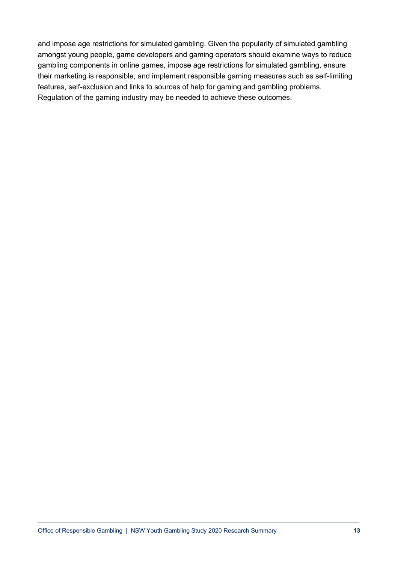and impose age restrictions for simulated gambling. Given the popularity of simulated gambling amongst young people, game developers and gaming operators should examine ways to reduce gambling components in online games, impose age restrictions for simulated gambling, ensure their marketing is responsible, and implement responsible gaming measures such as self-limiting features, self-exclusion and links to sources of help for gaming and gambling problems. Regulation of the gaming industry may be needed to achieve these outcomes.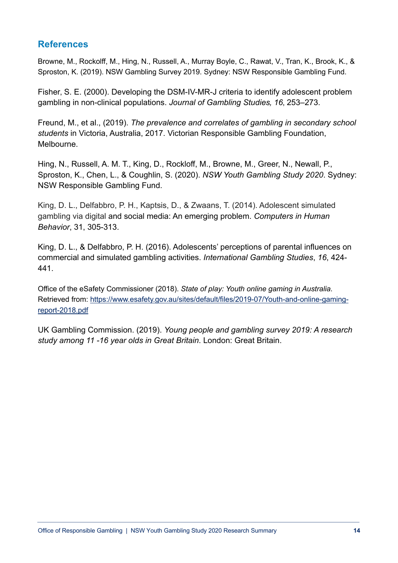#### **References**

Browne, M., Rockolff, M., Hing, N., Russell, A., Murray Boyle, C., Rawat, V., Tran, K., Brook, K., & Sproston, K. (2019). NSW Gambling Survey 2019. Sydney: NSW Responsible Gambling Fund.

Fisher, S. E. (2000). Developing the DSM-IV-MR-J criteria to identify adolescent problem gambling in non-clinical populations. *Journal of Gambling Studies' 16*' 253–273.

Freund, M., et al., (2019). *The prevalence and correlates of gambling in secondary school students* in Victoria, Australia, 2017. Victorian Responsible Gambling Foundation, Melbourne.

Hing, N., Russell, A. M. T., King, D., Rockloff, M., Browne, M., Greer, N., Newall, P., Sproston, K., Chen, L., & Coughlin, S. (2020). *NSW Youth Gambling Study 2020*. Sydney: NSW Responsible Gambling Fund.

King, D. L., Delfabbro, P. H., Kaptsis, D., & Zwaans, T. (2014). Adolescent simulated gambling via digital and social media: An emerging problem. *Computers in Human Behavior*, 31, 305-313.

King, D. L., & Delfabbro, P. H. (2016). Adolescents' perceptions of parental influences on commercial and simulated gambling activities. *International Gambling Studies*, *16*, 424- 441.

Office of the eSafety Commissioner (2018). *State of play: Youth online gaming in Australia*. Retrieved from: https://www.esafety.gov.au/sites/default/files/2019-07/Youth-and-online-gamingreport-2018.pdf

UK Gambling Commission. (2019). *Young people and gambling survey 2019: A research study among 11 -16 year olds in Great Britain*. London: Great Britain.